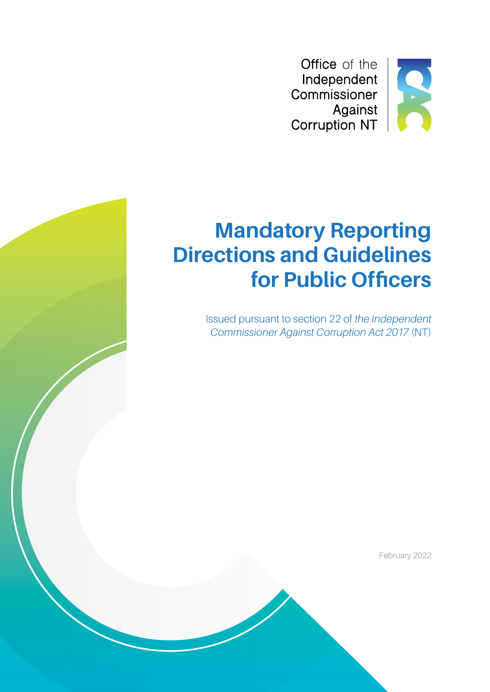

# **Mandatory Reporting Directions and Guidelines for Public Officers**

Issued pursuant to section 22 of *the Independent Commissioner Against Corruption Act 2017* (NT)

February 2022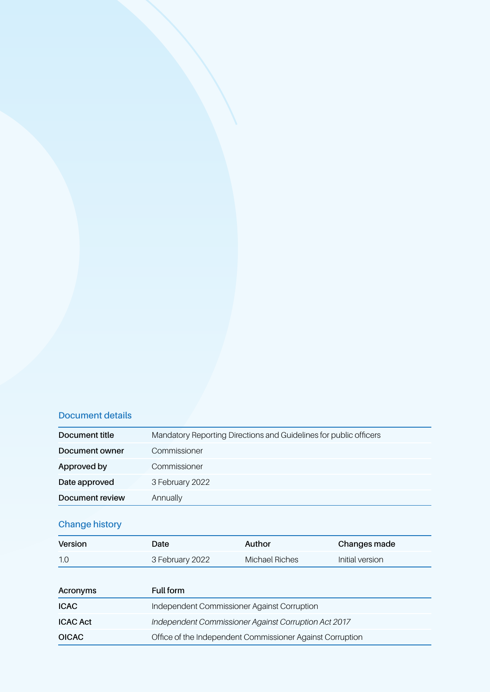## **Document details**

| Document title  | Mandatory Reporting Directions and Guidelines for public officers |
|-----------------|-------------------------------------------------------------------|
| Document owner  | Commissioner                                                      |
| Approved by     | Commissioner                                                      |
| Date approved   | 3 February 2022                                                   |
| Document review | Annually                                                          |

## **Change history**

| Version | Date            | Author         | Changes made    |
|---------|-----------------|----------------|-----------------|
| 1.0     | 3 February 2022 | Michael Riches | Initial version |

| Acronyms        | Full form                                                 |
|-----------------|-----------------------------------------------------------|
| <b>ICAC</b>     | Independent Commissioner Against Corruption               |
| <b>ICAC Act</b> | Independent Commissioner Against Corruption Act 2017      |
| <b>OICAC</b>    | Office of the Independent Commissioner Against Corruption |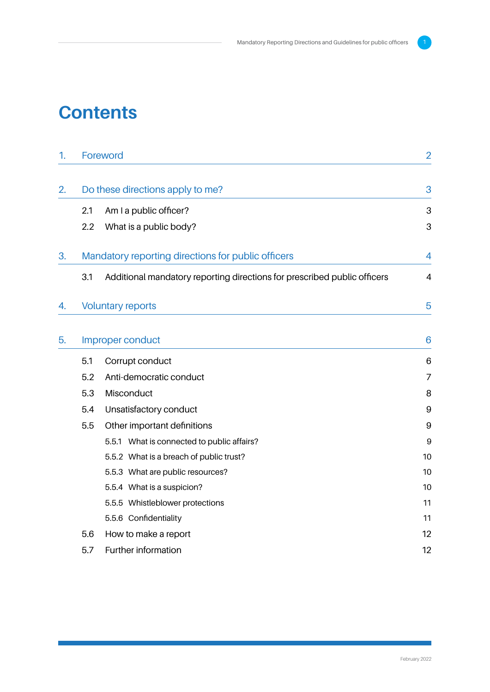

## **Contents**

| 1. |     | Foreword                                                                 | $\overline{2}$   |
|----|-----|--------------------------------------------------------------------------|------------------|
| 2. |     | Do these directions apply to me?                                         | 3                |
|    | 2.1 | Am I a public officer?                                                   | 3                |
|    | 2.2 | What is a public body?                                                   | 3                |
| 3. |     | Mandatory reporting directions for public officers                       | $\overline{4}$   |
|    | 3.1 | Additional mandatory reporting directions for prescribed public officers | 4                |
| 4. |     | <b>Voluntary reports</b>                                                 | 5                |
| 5. |     | Improper conduct                                                         | 6                |
|    | 5.1 | Corrupt conduct                                                          | 6                |
|    | 5.2 | Anti-democratic conduct                                                  | $\overline{7}$   |
|    | 5.3 | Misconduct                                                               | 8                |
|    | 5.4 | Unsatisfactory conduct                                                   | 9                |
|    | 5.5 | Other important definitions                                              | 9                |
|    |     | 5.5.1 What is connected to public affairs?                               | $\boldsymbol{9}$ |
|    |     | 5.5.2 What is a breach of public trust?                                  | 10               |
|    |     | 5.5.3 What are public resources?                                         | 10               |
|    |     | 5.5.4 What is a suspicion?                                               | 10               |
|    |     | 5.5.5 Whistleblower protections                                          | 11               |
|    |     | 5.5.6 Confidentiality                                                    | 11               |
|    | 5.6 | How to make a report                                                     | 12               |
|    | 5.7 | Further information                                                      | 12               |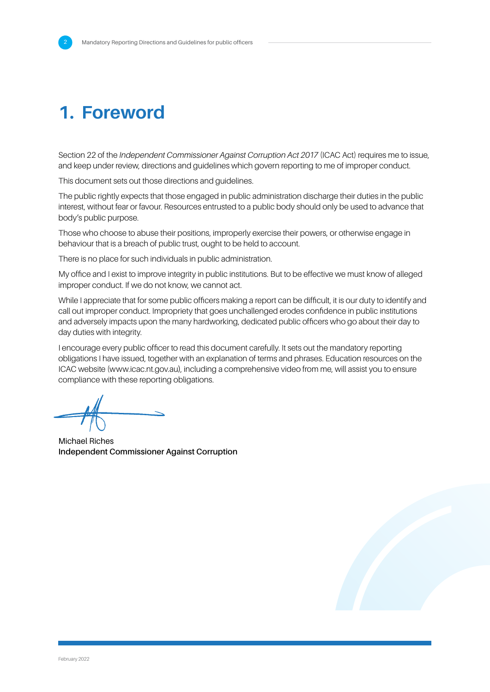## **1. Foreword**

2

Section 22 of the *Independent Commissioner Against Corruption Act 2017* (ICAC Act) requires me to issue, and keep under review, directions and guidelines which govern reporting to me of improper conduct.

This document sets out those directions and guidelines.

The public rightly expects that those engaged in public administration discharge their duties in the public interest, without fear or favour. Resources entrusted to a public body should only be used to advance that body's public purpose.

Those who choose to abuse their positions, improperly exercise their powers, or otherwise engage in behaviour that is a breach of public trust, ought to be held to account.

There is no place for such individuals in public administration.

My office and I exist to improve integrity in public institutions. But to be effective we must know of alleged improper conduct. If we do not know, we cannot act.

While I appreciate that for some public officers making a report can be difficult, it is our duty to identify and call out improper conduct. Impropriety that goes unchallenged erodes confidence in public institutions and adversely impacts upon the many hardworking, dedicated public officers who go about their day to day duties with integrity.

I encourage every public officer to read this document carefully. It sets out the mandatory reporting obligations I have issued, together with an explanation of terms and phrases. Education resources on the ICAC website (www.icac.nt.gov.au), including a comprehensive video from me, will assist you to ensure compliance with these reporting obligations.

Michael Riches **Independent Commissioner Against Corruption**

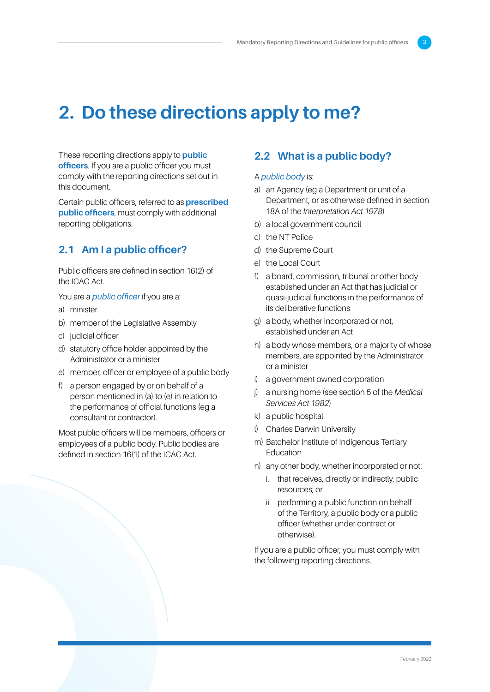## **2. Do these directions apply to me?**

These reporting directions apply to **public officers**. If you are a public officer you must comply with the reporting directions set out in this document.

Certain public officers, referred to as **prescribed public officers**, must comply with additional reporting obligations.

## **2.1 Am I a public officer?**

Public officers are defined in section 16(2) of the ICAC Act.

You are a *public officer* if you are a:

- a) minister
- b) member of the Legislative Assembly
- c) judicial officer
- d) statutory office holder appointed by the Administrator or a minister
- e) member, officer or employee of a public body
- f) a person engaged by or on behalf of a person mentioned in (a) to (e) in relation to the performance of official functions (eg a consultant or contractor).

Most public officers will be members, officers or employees of a public body. Public bodies are defined in section 16(1) of the ICAC Act.

#### **2.2 What is a public body?**

#### A *public body* is:

- a) an Agency (eg a Department or unit of a Department, or as otherwise defined in section 18A of the *Interpretation Act 1978*)
- b) a local government council
- c) the NT Police
- d) the Supreme Court
- e) the Local Court
- f) a board, commission, tribunal or other body established under an Act that has judicial or quasi-judicial functions in the performance of its deliberative functions
- g) a body, whether incorporated or not, established under an Act
- h) a body whose members, or a majority of whose members, are appointed by the Administrator or a minister
- i) a government owned corporation
- j) a nursing home (see section 5 of the *Medical Services Act 1982*)
- k) a public hospital
- l) Charles Darwin University
- m) Batchelor Institute of Indigenous Tertiary Education
- n) any other body, whether incorporated or not:
	- i. that receives, directly or indirectly, public resources; or
	- ii. performing a public function on behalf of the Territory, a public body or a public officer (whether under contract or otherwise).

If you are a public officer, you must comply with the following reporting directions.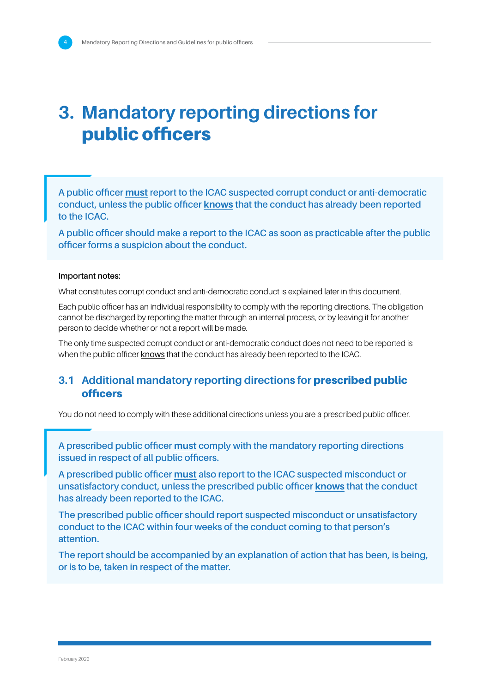## **3. Mandatory reporting directions for**  public officers

**A public officer must report to the ICAC suspected corrupt conduct or anti-democratic conduct, unless the public officer knows that the conduct has already been reported to the ICAC.**

**A public officer should make a report to the ICAC as soon as practicable after the public officer forms a suspicion about the conduct.**

#### **Important notes:**

4

What constitutes corrupt conduct and anti-democratic conduct is explained later in this document.

Each public officer has an individual responsibility to comply with the reporting directions. The obligation cannot be discharged by reporting the matter through an internal process, or by leaving it for another person to decide whether or not a report will be made.

The only time suspected corrupt conduct or anti-democratic conduct does not need to be reported is when the public officer knows that the conduct has already been reported to the ICAC.

#### **3.1 Additional mandatory reporting directions for** prescribed public officers

You do not need to comply with these additional directions unless you are a prescribed public officer.

**A prescribed public officer must comply with the mandatory reporting directions issued in respect of all public officers.**

**A prescribed public officer must also report to the ICAC suspected misconduct or unsatisfactory conduct, unless the prescribed public officer knows that the conduct has already been reported to the ICAC.**

**The prescribed public officer should report suspected misconduct or unsatisfactory conduct to the ICAC within four weeks of the conduct coming to that person's attention.**

**The report should be accompanied by an explanation of action that has been, is being, or is to be, taken in respect of the matter.**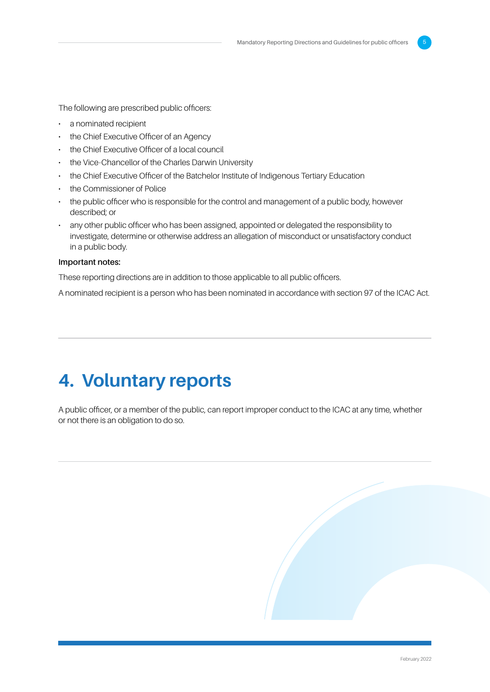

The following are prescribed public officers:

- a nominated recipient
- the Chief Executive Officer of an Agency
- the Chief Executive Officer of a local council
- the Vice-Chancellor of the Charles Darwin University
- the Chief Executive Officer of the Batchelor Institute of Indigenous Tertiary Education
- the Commissioner of Police
- the public officer who is responsible for the control and management of a public body, however described; or
- any other public officer who has been assigned, appointed or delegated the responsibility to investigate, determine or otherwise address an allegation of misconduct or unsatisfactory conduct in a public body.

#### **Important notes:**

These reporting directions are in addition to those applicable to all public officers.

A nominated recipient is a person who has been nominated in accordance with section 97 of the ICAC Act.

## **4. Voluntary reports**

A public officer, or a member of the public, can report improper conduct to the ICAC at any time, whether or not there is an obligation to do so.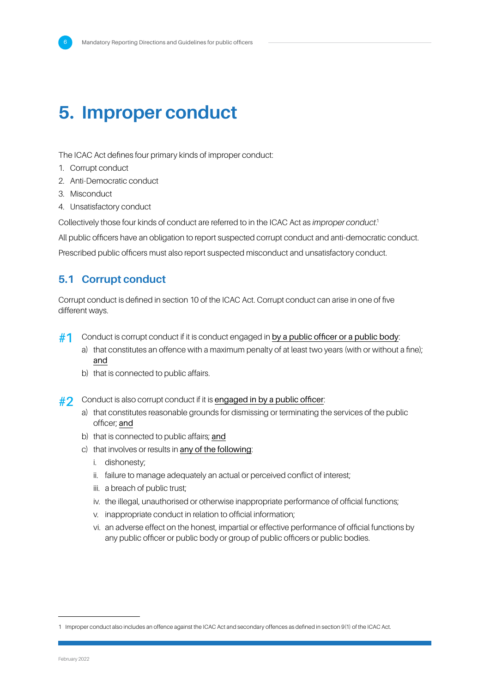## **5. Improper conduct**

The ICAC Act defines four primary kinds of improper conduct:

- 1. Corrupt conduct
- 2. Anti-Democratic conduct
- 3. Misconduct

6

4. Unsatisfactory conduct

Collectively those four kinds of conduct are referred to in the ICAC Act as *improper conduct*. 1

All public officers have an obligation to report suspected corrupt conduct and anti-democratic conduct.

Prescribed public officers must also report suspected misconduct and unsatisfactory conduct.

#### **5.1 Corrupt conduct**

Corrupt conduct is defined in section 10 of the ICAC Act. Corrupt conduct can arise in one of five different ways.

- Conduct is corrupt conduct if it is conduct engaged in by a public officer or a public body: **#1**
	- a) that constitutes an offence with a maximum penalty of at least two years (with or without a fine); and
	- b) that is connected to public affairs.
- Conduct is also corrupt conduct if it is engaged in by a public officer: **#2**
	- a) that constitutes reasonable grounds for dismissing or terminating the services of the public officer; and
	- b) that is connected to public affairs; and
	- c) that involves or results in any of the following:
		- i. dishonesty;
		- ii. failure to manage adequately an actual or perceived conflict of interest;
		- iii. a breach of public trust;
		- iv. the illegal, unauthorised or otherwise inappropriate performance of official functions;
		- v. inappropriate conduct in relation to official information;
		- vi. an adverse effect on the honest, impartial or effective performance of official functions by any public officer or public body or group of public officers or public bodies.

<sup>1</sup> Improper conduct also includes an offence against the ICAC Act and secondary offences as defined in section 9(1) of the ICAC Act.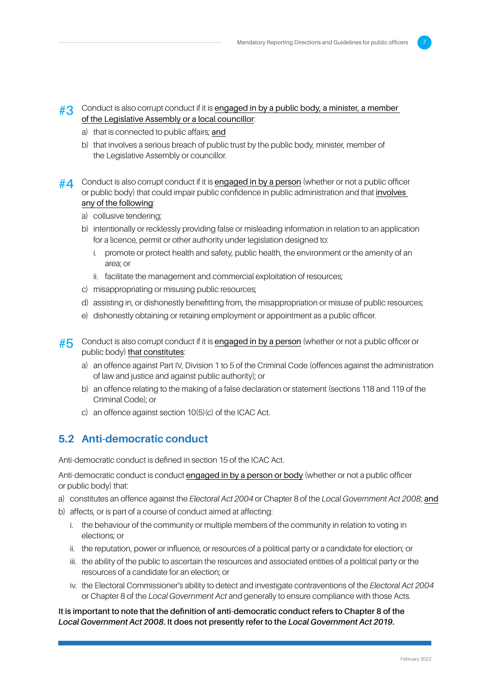#### Conduct is also corrupt conduct if it is engaged in by a public body, a minister, a member **#3** of the Legislative Assembly or a local councillor:

- a) that is connected to public affairs; and
- b) that involves a serious breach of public trust by the public body, minister, member of the Legislative Assembly or councillor.
- Conduct is also corrupt conduct if it is engaged in by a person (whether or not a public officer **#4** or public body) that could impair public confidence in public administration and that involves any of the following:
	- a) collusive tendering;
	- b) intentionally or recklessly providing false or misleading information in relation to an application for a licence, permit or other authority under legislation designed to:
		- i. promote or protect health and safety, public health, the environment or the amenity of an area; or
		- ii. facilitate the management and commercial exploitation of resources;
	- c) misappropriating or misusing public resources;
	- d) assisting in, or dishonestly benefitting from, the misappropriation or misuse of public resources;
	- e) dishonestly obtaining or retaining employment or appointment as a public officer.
- Conduct is also corrupt conduct if it is engaged in by a person (whether or not a public officer or **#5**public body) that constitutes:
	- a) an offence against Part IV, Division 1 to 5 of the Criminal Code (offences against the administration of law and justice and against public authority); or
	- b) an offence relating to the making of a false declaration or statement (sections 118 and 119 of the Criminal Code); or
	- c) an offence against section 10(5)(c) of the ICAC Act.

### **5.2 Anti-democratic conduct**

Anti-democratic conduct is defined in section 15 of the ICAC Act.

Anti-democratic conduct is conduct engaged in by a person or body (whether or not a public officer or public body) that:

- a) constitutes an offence against the *Electoral Act 2004* or Chapter 8 of the *Local Government Act 2008*; and
- b) affects, or is part of a course of conduct aimed at affecting:
	- i. the behaviour of the community or multiple members of the community in relation to voting in elections; or
	- ii. the reputation, power or influence, or resources of a political party or a candidate for election; or
	- iii. the ability of the public to ascertain the resources and associated entities of a political party or the resources of a candidate for an election; or
	- iv. the Electoral Commissioner's ability to detect and investigate contraventions of the *Electoral Act 2004* or Chapter 8 of the *Local Government Act* and generally to ensure compliance with those Acts.

#### **It is important to note that the definition of anti-democratic conduct refers to Chapter 8 of the**  *Local Government Act 2008***. It does not presently refer to the** *Local Government Act 2019***.**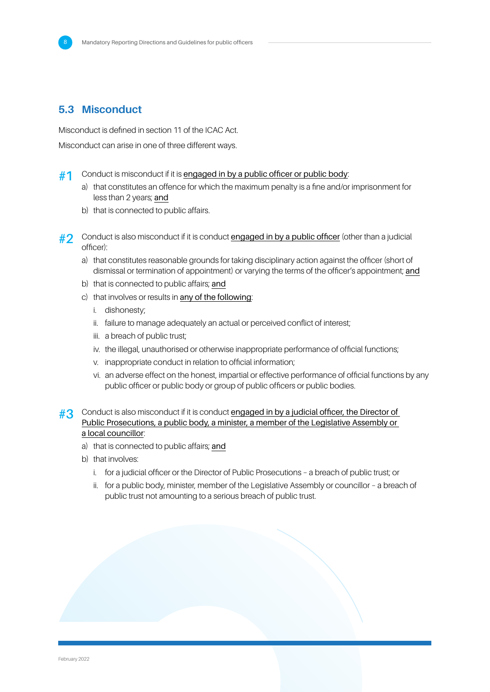### **5.3 Misconduct**

Misconduct is defined in section 11 of the ICAC Act.

Misconduct can arise in one of three different ways.

- Conduct is misconduct if it is engaged in by a public officer or public body: **#1**
	- a) that constitutes an offence for which the maximum penalty is a fine and/or imprisonment for less than 2 years; and
	- b) that is connected to public affairs.
- **#2** Conduct is also misconduct if it is conduct engaged in by a public officer (other than a judicial  $\frac{1}{2}$ officer):
	- a) that constitutes reasonable grounds for taking disciplinary action against the officer (short of dismissal or termination of appointment) or varying the terms of the officer's appointment; and
	- b) that is connected to public affairs; and
	- c) that involves or results in any of the following:
		- i. dishonesty;
		- ii. failure to manage adequately an actual or perceived conflict of interest;
		- iii. a breach of public trust;
		- iv. the illegal, unauthorised or otherwise inappropriate performance of official functions;
		- v. inappropriate conduct in relation to official information;
		- vi. an adverse effect on the honest, impartial or effective performance of official functions by any public officer or public body or group of public officers or public bodies.

Conduct is also misconduct if it is conduct engaged in by a judicial officer, the Director of **#3** Public Prosecutions, a public body, a minister, a member of the Legislative Assembly or a local councillor:

- a) that is connected to public affairs; and
- b) that involves:
	- i. for a judicial officer or the Director of Public Prosecutions a breach of public trust; or
	- ii. for a public body, minister, member of the Legislative Assembly or councillor a breach of public trust not amounting to a serious breach of public trust.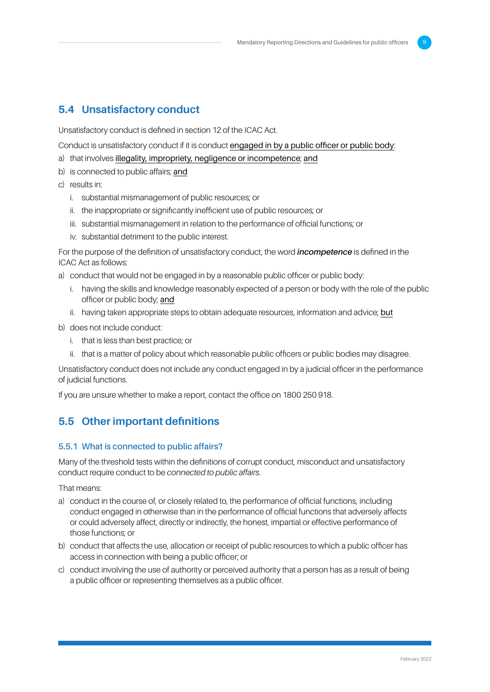

### **5.4 Unsatisfactory conduct**

Unsatisfactory conduct is defined in section 12 of the ICAC Act.

Conduct is unsatisfactory conduct if it is conduct engaged in by a public officer or public body:

- a) that involves illegality, impropriety, negligence or incompetence; and
- b) is connected to public affairs; and
- c) results in:
	- i. substantial mismanagement of public resources; or
	- ii. the inappropriate or significantly inefficient use of public resources; or
	- iii. substantial mismanagement in relation to the performance of official functions; or
	- iv. substantial detriment to the public interest.

For the purpose of the definition of unsatisfactory conduct, the word *incompetence* is defined in the ICAC Act as follows:

- a) conduct that would not be engaged in by a reasonable public officer or public body:
	- i. having the skills and knowledge reasonably expected of a person or body with the role of the public officer or public body; and
	- ii. having taken appropriate steps to obtain adequate resources, information and advice; but
- b) does not include conduct:
	- i. that is less than best practice; or
	- ii. that is a matter of policy about which reasonable public officers or public bodies may disagree.

Unsatisfactory conduct does not include any conduct engaged in by a judicial officer in the performance of judicial functions.

If you are unsure whether to make a report, contact the office on 1800 250 918.

### **5.5 Other important definitions**

#### **5.5.1 What is connected to public affairs?**

Many of the threshold tests within the definitions of corrupt conduct, misconduct and unsatisfactory conduct require conduct to be *connected to public affairs*.

That means:

- a) conduct in the course of, or closely related to, the performance of official functions, including conduct engaged in otherwise than in the performance of official functions that adversely affects or could adversely affect, directly or indirectly, the honest, impartial or effective performance of those functions; or
- b) conduct that affects the use, allocation or receipt of public resources to which a public officer has access in connection with being a public officer; or
- c) conduct involving the use of authority or perceived authority that a person has as a result of being a public officer or representing themselves as a public officer.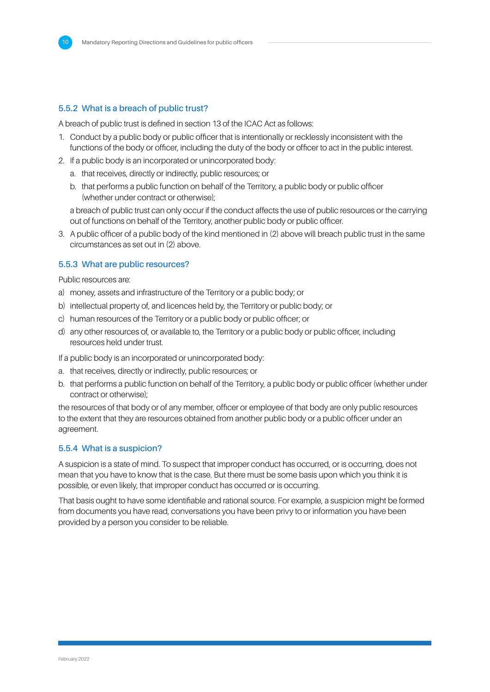

### **5.5.2 What is a breach of public trust?**

A breach of public trust is defined in section 13 of the ICAC Act as follows:

- 1. Conduct by a public body or public officer that is intentionally or recklessly inconsistent with the functions of the body or officer, including the duty of the body or officer to act in the public interest.
- 2. If a public body is an incorporated or unincorporated body:
	- a. that receives, directly or indirectly, public resources; or
	- b. that performs a public function on behalf of the Territory, a public body or public officer (whether under contract or otherwise);

a breach of public trust can only occur if the conduct affects the use of public resources or the carrying out of functions on behalf of the Territory, another public body or public officer.

3. A public officer of a public body of the kind mentioned in (2) above will breach public trust in the same circumstances as set out in (2) above.

### **5.5.3 What are public resources?**

Public resources are:

10

- a) money, assets and infrastructure of the Territory or a public body; or
- b) intellectual property of, and licences held by, the Territory or public body; or
- c) human resources of the Territory or a public body or public officer; or
- d) any other resources of, or available to, the Territory or a public body or public officer, including resources held under trust.

If a public body is an incorporated or unincorporated body:

- a. that receives, directly or indirectly, public resources; or
- b. that performs a public function on behalf of the Territory, a public body or public officer (whether under contract or otherwise);

the resources of that body or of any member, officer or employee of that body are only public resources to the extent that they are resources obtained from another public body or a public officer under an agreement.

#### **5.5.4 What is a suspicion?**

A suspicion is a state of mind. To suspect that improper conduct has occurred, or is occurring, does not mean that you have to know that is the case. But there must be some basis upon which you think it is possible, or even likely, that improper conduct has occurred or is occurring.

That basis ought to have some identifiable and rational source. For example, a suspicion might be formed from documents you have read, conversations you have been privy to or information you have been provided by a person you consider to be reliable.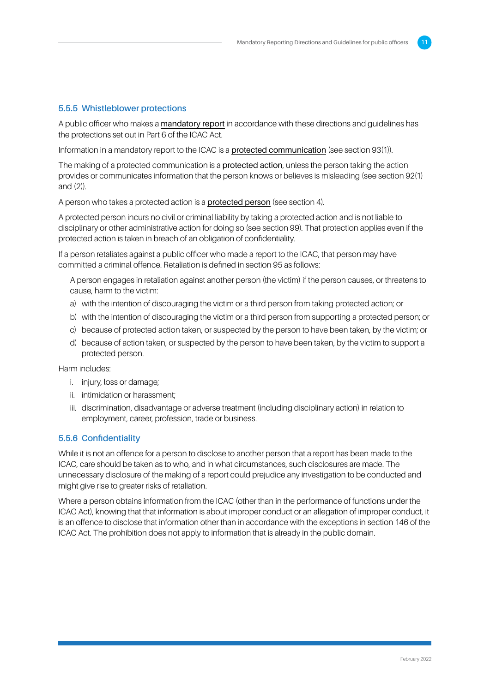

#### **5.5.5 Whistleblower protections**

A public officer who makes a mandatory report in accordance with these directions and guidelines has the protections set out in Part 6 of the ICAC Act.

Information in a mandatory report to the ICAC is a protected communication (see section 93(1)).

The making of a protected communication is a protected action, unless the person taking the action provides or communicates information that the person knows or believes is misleading (see section 92(1) and (2)).

A person who takes a protected action is a protected person (see section 4).

A protected person incurs no civil or criminal liability by taking a protected action and is not liable to disciplinary or other administrative action for doing so (see section 99). That protection applies even if the protected action is taken in breach of an obligation of confidentiality.

If a person retaliates against a public officer who made a report to the ICAC, that person may have committed a criminal offence. Retaliation is defined in section 95 as follows:

A person engages in retaliation against another person (the victim) if the person causes, or threatens to cause, harm to the victim:

- a) with the intention of discouraging the victim or a third person from taking protected action; or
- b) with the intention of discouraging the victim or a third person from supporting a protected person; or
- c) because of protected action taken, or suspected by the person to have been taken, by the victim; or
- d) because of action taken, or suspected by the person to have been taken, by the victim to support a protected person.

Harm includes:

- i. injury, loss or damage;
- ii. intimidation or harassment;
- iii. discrimination, disadvantage or adverse treatment (including disciplinary action) in relation to employment, career, profession, trade or business.

#### **5.5.6 Confidentiality**

While it is not an offence for a person to disclose to another person that a report has been made to the ICAC, care should be taken as to who, and in what circumstances, such disclosures are made. The unnecessary disclosure of the making of a report could prejudice any investigation to be conducted and might give rise to greater risks of retaliation.

Where a person obtains information from the ICAC (other than in the performance of functions under the ICAC Act), knowing that that information is about improper conduct or an allegation of improper conduct, it is an offence to disclose that information other than in accordance with the exceptions in section 146 of the ICAC Act. The prohibition does not apply to information that is already in the public domain.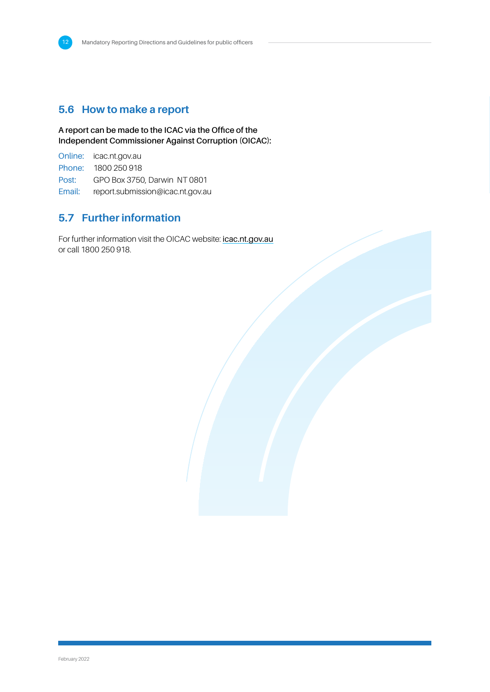### **5.6 How to make a report**

**A report can be made to the ICAC via the Office of the Independent Commissioner Against Corruption (OICAC):**

Online: icac.nt.gov.au Phone: 1800 250 918 Post: GPO Box 3750, Darwin NT 0801 Email: report.submission@icac.nt.gov.au

## **5.7 Further information**

For further information visit the OICAC website: icac.nt.gov.au or call 1800 250 918.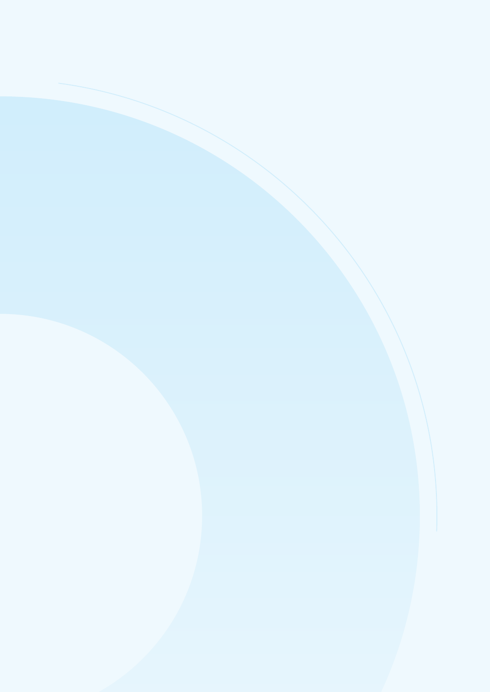